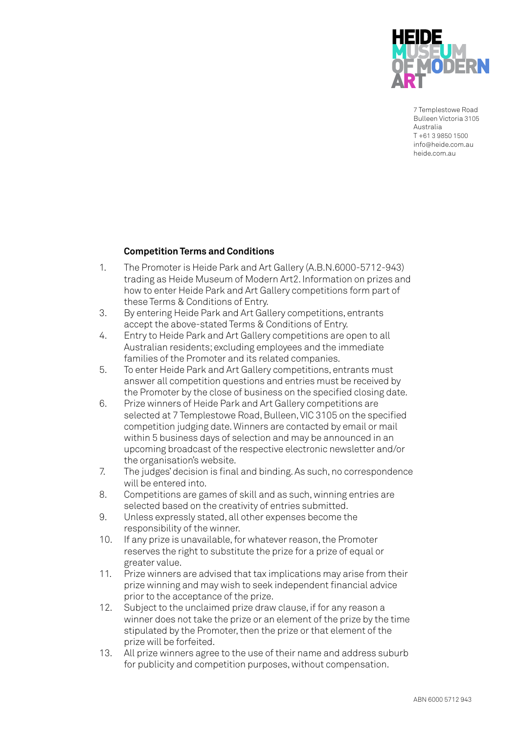

7 Templestowe Road Bulleen Victoria 3105 Australia T +61 3 9850 1500 info@heide.com.au heide.com.au

## **Competition Terms and Conditions**

- 1. The Promoter is Heide Park and Art Gallery (A.B.N.6000-5712-943) trading as Heide Museum of Modern Art2. Information on prizes and how to enter Heide Park and Art Gallery competitions form part of these Terms & Conditions of Entry.
- 3. By entering Heide Park and Art Gallery competitions, entrants accept the above-stated Terms & Conditions of Entry.
- 4. Entry to Heide Park and Art Gallery competitions are open to all Australian residents; excluding employees and the immediate families of the Promoter and its related companies.
- 5. To enter Heide Park and Art Gallery competitions, entrants must answer all competition questions and entries must be received by the Promoter by the close of business on the specified closing date.
- 6. Prize winners of Heide Park and Art Gallery competitions are selected at 7 Templestowe Road, Bulleen, VIC 3105 on the specified competition judging date. Winners are contacted by email or mail within 5 business days of selection and may be announced in an upcoming broadcast of the respective electronic newsletter and/or the organisation's website.
- 7. The judges' decision is final and binding. As such, no correspondence will be entered into.
- 8. Competitions are games of skill and as such, winning entries are selected based on the creativity of entries submitted.
- 9. Unless expressly stated, all other expenses become the responsibility of the winner.
- 10. If any prize is unavailable, for whatever reason, the Promoter reserves the right to substitute the prize for a prize of equal or greater value.
- 11. Prize winners are advised that tax implications may arise from their prize winning and may wish to seek independent financial advice prior to the acceptance of the prize.
- 12. Subject to the unclaimed prize draw clause, if for any reason a winner does not take the prize or an element of the prize by the time stipulated by the Promoter, then the prize or that element of the prize will be forfeited.
- 13. All prize winners agree to the use of their name and address suburb for publicity and competition purposes, without compensation.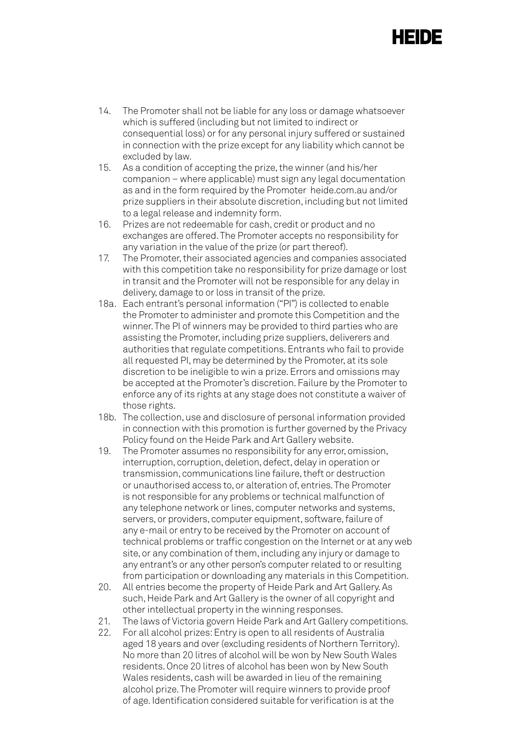## HEIDE

- 14. The Promoter shall not be liable for any loss or damage whatsoever which is suffered (including but not limited to indirect or consequential loss) or for any personal injury suffered or sustained in connection with the prize except for any liability which cannot be excluded by law.
- 15. As a condition of accepting the prize, the winner (and his/her companion – where applicable) must sign any legal documentation as and in the form required by the Promoter heide.com.au and/or prize suppliers in their absolute discretion, including but not limited to a legal release and indemnity form.
- 16. Prizes are not redeemable for cash, credit or product and no exchanges are offered. The Promoter accepts no responsibility for any variation in the value of the prize (or part thereof).
- 17. The Promoter, their associated agencies and companies associated with this competition take no responsibility for prize damage or lost in transit and the Promoter will not be responsible for any delay in delivery, damage to or loss in transit of the prize.
- 18a. Each entrant's personal information ("PI") is collected to enable the Promoter to administer and promote this Competition and the winner. The PI of winners may be provided to third parties who are assisting the Promoter, including prize suppliers, deliverers and authorities that regulate competitions. Entrants who fail to provide all requested PI, may be determined by the Promoter, at its sole discretion to be ineligible to win a prize. Errors and omissions may be accepted at the Promoter's discretion. Failure by the Promoter to enforce any of its rights at any stage does not constitute a waiver of those rights.
- 18b. The collection, use and disclosure of personal information provided in connection with this promotion is further governed by the Privacy Policy found on the Heide Park and Art Gallery website.
- 19. The Promoter assumes no responsibility for any error, omission, interruption, corruption, deletion, defect, delay in operation or transmission, communications line failure, theft or destruction or unauthorised access to, or alteration of, entries. The Promoter is not responsible for any problems or technical malfunction of any telephone network or lines, computer networks and systems, servers, or providers, computer equipment, software, failure of any e-mail or entry to be received by the Promoter on account of technical problems or traffic congestion on the Internet or at any web site, or any combination of them, including any injury or damage to any entrant's or any other person's computer related to or resulting from participation or downloading any materials in this Competition.
- 20. All entries become the property of Heide Park and Art Gallery. As such, Heide Park and Art Gallery is the owner of all copyright and other intellectual property in the winning responses.
- 21. The laws of Victoria govern Heide Park and Art Gallery competitions.
- 22. For all alcohol prizes: Entry is open to all residents of Australia aged 18 years and over (excluding residents of Northern Territory). No more than 20 litres of alcohol will be won by New South Wales residents. Once 20 litres of alcohol has been won by New South Wales residents, cash will be awarded in lieu of the remaining alcohol prize. The Promoter will require winners to provide proof of age. Identification considered suitable for verification is at the